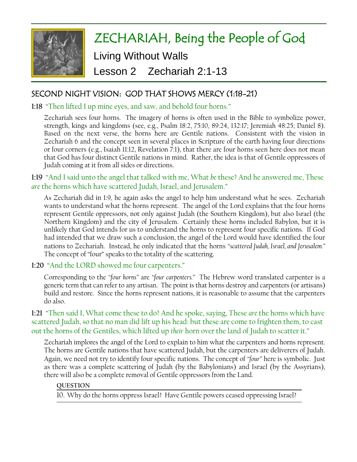

# ZECHARIAH, Being the People of God

Living Without Walls

Lesson 2 Zechariah 2:1-13

## SECOND NIGHT VISION: GOD THAT SHOWS MERCY (1:18-21)

## **1:18** "Then lifted I up mine eyes, and saw, and behold four horns."

Zechariah sees four horns. The imagery of horns is often used in the Bible to symbolize power, strength, kings and kingdoms (see, e.g., Psalm 18:2, 75:10, 89:24, 132:17; Jeremiah 48:25; Daniel 8). Based on the next verse, the horns here are Gentile nations. Consistent with the vision in Zechariah 6 and the concept seen in several places in Scripture of the earth having four directions or four corners (e.g., Isaiah 11:12, Revelation 7:1), that there are four horns seen here does not mean that God has four distinct Gentile nations in mind. Rather, the idea is that of Gentile oppressors of Judah coming at it from all sides or directions.

## **1:19** "And I said unto the angel that talked with me, What *be* these? And he answered me, These *are* the horns which have scattered Judah, Israel, and Jerusalem."

As Zechariah did in 1:9, he again asks the angel to help him understand what he sees. Zechariah wants to understand what the horns represent. The angel of the Lord explains that the four horns represent Gentile oppressors, not only against Judah (the Southern Kingdom), but also Israel (the Northern Kingdom) and the city of Jerusalem. Certainly these horns included Babylon, but it is unlikely that God intends for us to understand the horns to represent four specific nations. If God had intended that we draw such a conclusion, the angel of the Lord would have identified the four nations to Zechariah. Instead, he only indicated that the horns *"scattered Judah, Israel, and Jerusalem."*  The concept of "four" speaks to the totality of the scattering.

## **1:20** "And the LORD showed me four carpenters."

Corresponding to the *"four horns"* are *"four carpenters."* The Hebrew word translated carpenter is a generic term that can refer to any artisan. The point is that horns destroy and carpenters (or artisans) build and restore. Since the horns represent nations, it is reasonable to assume that the carpenters do also.

**1:21** "Then said I, What come these to do? And he spoke, saying, These *are* the horns which have scattered Judah, so that no man did lift up his head: but these are come to frighten them, to cast out the horns of the Gentiles, which lifted up *their* horn over the land of Judah to scatter it."

Zechariah implores the angel of the Lord to explain to him what the carpenters and horns represent. The horns are Gentile nations that have scattered Judah, but the carpenters are deliverers of Judah. Again, we need not try to identify four specific nations. The concept of *"four"* here is symbolic. Just as there was a complete scattering of Judah (by the Babylonians) and Israel (by the Assyrians), there will also be a complete removal of Gentile oppressors from the Land.

## **QUESTION**

10. Why do the horns oppress Israel? Have Gentile powers ceased oppressing Israel?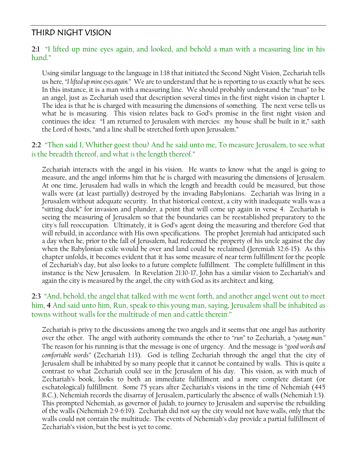## THIRD NIGHT VISION

## **2:1** "I lifted up mine eyes again, and looked, and behold a man with a measuring line in his hand."

Using similar language to the language in 1:18 that initiated the Second Night Vision, Zechariah tells us here, *"I lifted up mine eyes again."* We are to understand that he is reporting to us exactly what he sees. In this instance, it is a man with a measuring line. We should probably understand the "man" to be an angel, just as Zechariah used that description several times in the first night vision in chapter 1. The idea is that he is charged with measuring the dimensions of something. The next verse tells us what he is measuring. This vision relates back to God's promise in the first night vision and continues the idea: "I am returned to Jerusalem with mercies: my house shall be built in it," saith the Lord of hosts, "and a line shall be stretched forth upon Jerusalem."

## **2:2** "Then said I, Whither goest thou? And he said unto me, To measure Jerusalem, to see what *is* the breadth thereof, and what *is* the length thereof."

Zechariah interacts with the angel in his vision. He wants to know what the angel is going to measure, and the angel informs him that he is charged with measuring the dimensions of Jerusalem. At one time, Jerusalem had walls in which the length and breadth could be measured, but those walls were (at least partially) destroyed by the invading Babylonians. Zechariah was living in a Jerusalem without adequate security. In that historical context, a city with inadequate walls was a "sitting duck" for invasion and plunder, a point that will come up again in verse 4. Zechariah is seeing the measuring of Jerusalem so that the boundaries can be reestablished preparatory to the city's full reoccupation. Ultimately, it is God's agent doing the measuring and therefore God that will rebuild, in accordance with His own specifications. The prophet Jeremiah had anticipated such a day when he, prior to the fall of Jerusalem, had redeemed the property of his uncle against the day when the Babylonian exile would be over and land could be reclaimed (Jeremiah 32:6-15). As this chapter unfolds, it becomes evident that it has some measure of near term fulfillment for the people of Zechariah's day, but also looks to a future complete fulfillment. The complete fulfillment in this instance is the New Jerusalem. In Revelation 21:10-17, John has a similar vision to Zechariah's and again the city is measured by the angel, the city with God as its architect and king.

## **2:3** "And, behold, the angel that talked with me went forth, and another angel went out to meet him, **4** And said unto him, Run, speak to this young man, saying, Jerusalem shall be inhabited *as* towns without walls for the multitude of men and cattle therein:"

Zechariah is privy to the discussions among the two angels and it seems that one angel has authority over the other. The angel with authority commands the other to *"run"* to Zechariah, a *"young man."* The reason for his running is that the message is one of urgency. And the message is *"good words and comfortable words"* (Zechariah 1:13). God is telling Zechariah through the angel that the city of Jerusalem shall be inhabited by so many people that it cannot be contained by walls. This is quite a contrast to what Zechariah could see in the Jerusalem of his day. This vision, as with much of Zechariah's book, looks to both an immediate fulfillment and a more complete distant (or eschatological) fulfillment. Some 75 years after Zechariah's visions in the time of Nehemiah (445 B.C.), Nehemiah records the disarray of Jerusalem, particularly the absence of walls (Nehemiah 1:3). This prompted Nehemiah, as governor of Judah, to journey to Jerusalem and supervise the rebuilding of the walls (Nehemiah 2:9-6:19). Zechariah did not say the city would not have walls, only that the walls could not contain the multitude. The events of Nehemiah's day provide a partial fulfillment of Zechariah's vision, but the best is yet to come.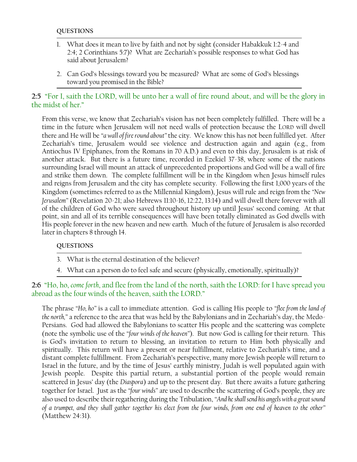#### **QUESTIONS**

- 1. What does it mean to live by faith and not by sight (consider Habakkuk 1:2-4 and 2:4; 2 Corinthians 5:7)? What are Zechariah's possible responses to what God has said about Jerusalem?
- 2. Can God's blessings toward you be measured? What are some of God's blessings toward you promised in the Bible?

## **2:5** "For I, saith the LORD, will be unto her a wall of fire round about, and will be the glory in the midst of her."

From this verse, we know that Zechariah's vision has not been completely fulfilled. There will be a time in the future when Jerusalem will not need walls of protection because the LORD will dwell there and He will be *"a wall of fire round about"* the city. We know this has not been fulfilled yet. After Zechariah's time, Jerusalem would see violence and destruction again and again (e.g., from Antiochus IV Epiphanes, from the Romans in 70 A.D.) and even to this day, Jerusalem is at risk of another attack. But there is a future time, recorded in Ezekiel 37-38, where some of the nations surrounding Israel will mount an attack of unprecedented proportions and God will be a wall of fire and strike them down. The complete fulfillment will be in the Kingdom when Jesus himself rules and reigns from Jerusalem and the city has complete security. Following the first 1,000 years of the Kingdom (sometimes referred to as the Millennial Kingdom), Jesus will rule and reign from the *"New Jerusalem"* (Revelation 20-21; also Hebrews 11:10-16, 12:22, 13:14) and will dwell there forever with all of the children of God who were saved throughout history up until Jesus' second coming. At that point, sin and all of its terrible consequences will have been totally eliminated as God dwells with His people forever in the new heaven and new earth. Much of the future of Jerusalem is also recorded later in chapters 8 through 14.

#### **QUESTIONS**

3. What is the eternal destination of the believer?

4. What can a person do to feel safe and secure (physically, emotionally, spiritually)?

**2:6** "Ho, ho, *come forth*, and flee from the land of the north, saith the LORD: for I have spread you abroad as the four winds of the heaven, saith the LORD."

The phrase *"Ho, ho"* is a call to immediate attention. God is calling His people to *"flee from the land of the north,"* a reference to the area that was held by the Babylonians and in Zechariah's day, the Medo-Persians. God had allowed the Babylonians to scatter His people and the scattering was complete (note the symbolic use of the *"four winds of the heaven"*). But now God is calling for their return. This is God's invitation to return to blessing, an invitation to return to Him both physically and spiritually. This return will have a present or near fulfillment, relative to Zechariah's time, and a distant complete fulfillment. From Zechariah's perspective, many more Jewish people will return to Israel in the future, and by the time of Jesus' earthly ministry, Judah is well populated again with Jewish people. Despite this partial return, a substantial portion of the people would remain scattered in Jesus' day (the *Diaspora*) and up to the present day. But there awaits a future gathering together for Israel. Just as the *"four winds"* are used to describe the scattering of God's people, they are also used to describe their regathering during the Tribulation, *"And he shall send his angels with a great sound of a trumpet, and they shall gather together his elect from the four winds, from one end of heaven to the other"* (Matthew 24:31).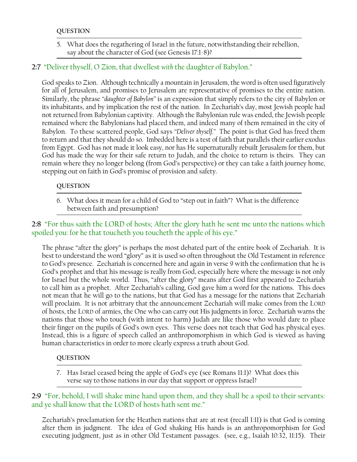5. What does the regathering of Israel in the future, notwithstanding their rebellion, say about the character of God (see Genesis 17:1-8)?

## **2:7** "Deliver thyself, O Zion, that dwellest *with* the daughter of Babylon."

God speaks to Zion. Although technically a mountain in Jerusalem, the word is often used figuratively for all of Jerusalem, and promises to Jerusalem are representative of promises to the entire nation. Similarly, the phrase *"daughter of Babylon"* is an expression that simply refers to the city of Babylon or its inhabitants, and by implication the rest of the nation. In Zechariah's day, most Jewish people had not returned from Babylonian captivity. Although the Babylonian rule was ended, the Jewish people remained where the Babylonians had placed them, and indeed many of them remained in the city of Babylon. To these scattered people, God says *"Deliver thyself."* The point is that God has freed them to return and that they should do so. Imbedded here is a test of faith that parallels their earlier exodus from Egypt. God has not made it look easy, nor has He supernaturally rebuilt Jerusalem for them, but God has made the way for their safe return to Judah, and the choice to return is theirs. They can remain where they no longer belong (from God's perspective) or they can take a faith journey home, stepping out on faith in God's promise of provision and safety.

#### **QUESTION**

6. What does it mean for a child of God to "step out in faith"? What is the difference between faith and presumption?

**2:8** "For thus saith the LORD of hosts; After the glory hath he sent me unto the nations which spoiled you: for he that toucheth you toucheth the apple of his eye."

The phrase "after the glory" is perhaps the most debated part of the entire book of Zechariah. It is best to understand the word "glory" as it is used so often throughout the Old Testament in reference to God's presence. Zechariah is concerned here and again in verse 9 with the confirmation that he is God's prophet and that his message is really from God, especially here where the message is not only for Israel but the whole world. Thus, "after the glory" means after God first appeared to Zechariah to call him as a prophet. After Zechariah's calling, God gave him a word for the nations. This does not mean that he will go to the nations, but that God has a message for the nations that Zechariah will proclaim. It is not arbitrary that the announcement Zechariah will make comes from the LORD of hosts, the LORD of armies, the One who can carry out His judgments in force. Zechariah warns the nations that those who touch (with intent to harm) Judah are like those who would dare to place their finger on the pupils of God's own eyes. This verse does not teach that God has physical eyes. Instead, this is a figure of speech called an anthropomorphism in which God is viewed as having human characteristics in order to more clearly express a truth about God.

## **QUESTION**

7. Has Israel ceased being the apple of God's eye (see Romans 11:1)? What does this verse say to those nations in our day that support or oppress Israel?

## **2:9** "For, behold, I will shake mine hand upon them, and they shall be a spoil to their servants: and ye shall know that the LORD of hosts hath sent me."

Zechariah's proclamation for the Heathen nations that are at rest (recall 1:11) is that God is coming after them in judgment. The idea of God shaking His hands is an anthropomorphism for God executing judgment, just as in other Old Testament passages. (see, e.g., Isaiah 10:32, 11:15). Their